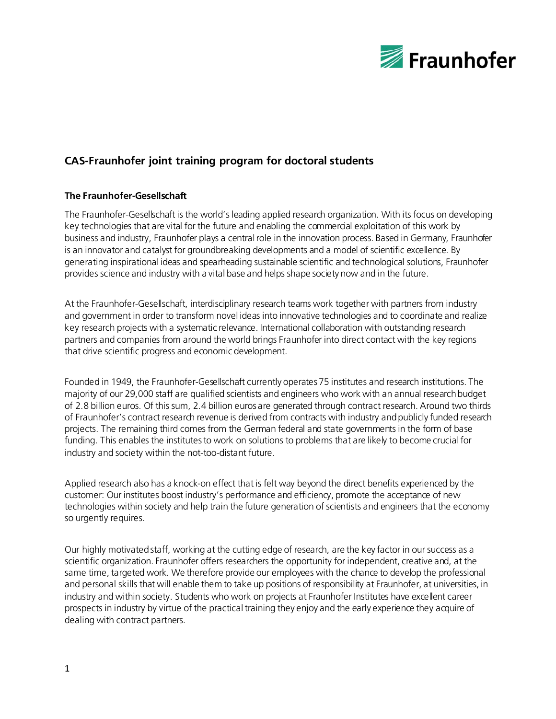

# **CAS-Fraunhofer joint training program for doctoral students**

## **The Fraunhofer-Gesellschaft**

The Fraunhofer-Gesellschaft is the world's leading applied research organization. With its focus on developing key technologies that are vital for the future and enabling the commercial exploitation of this work by business and industry, Fraunhofer plays a central role in the innovation process. Based in Germany, Fraunhofer is an innovator and catalyst for groundbreaking developments and a model of scientific excellence. By generating inspirational ideas and spearheading sustainable scientific and technological solutions, Fraunhofer provides science and industry with a vital base and helps shape society now and in the future.

At the Fraunhofer-Gesellschaft, interdisciplinary research teams work together with partners from industry and government in order to transform novel ideas into innovative technologies and to coordinate and realize key research projects with a systematic relevance. International collaboration with outstanding research partners and companies from around the world brings Fraunhofer into direct contact with the key regions that drive scientific progress and economic development.

Founded in 1949, the Fraunhofer-Gesellschaft currently operates 75 institutes and research institutions. The majority of our 29,000 staff are qualified scientists and engineers who work with an annual research budget of 2.8 billion euros. Of this sum, 2.4 billion euros are generated through contract research. Around two thirds of Fraunhofer's contract research revenue is derived from contracts with industry and publicly funded research projects. The remaining third comes from the German federal and state governments in the form of base funding. This enables the institutes to work on solutions to problems that are likely to become crucial for industry and society within the not-too-distant future.

Applied research also has a knock-on effect that is felt way beyond the direct benefits experienced by the customer: Our institutes boost industry's performance and efficiency, promote the acceptance of new technologies within society and help train the future generation of scientists and engineers that the economy so urgently requires.

Our highly motivated staff, working at the cutting edge of research, are the key factor in our success as a scientific organization. Fraunhofer offers researchers the opportunity for independent, creative and, at the same time, targeted work. We therefore provide our employees with the chance to develop the professional and personal skills that will enable them to take up positions of responsibility at Fraunhofer, at universities, in industry and within society. Students who work on projects at Fraunhofer Institutes have excellent career prospects in industry by virtue of the practical training they enjoy and the early experience they acquire of dealing with contract partners.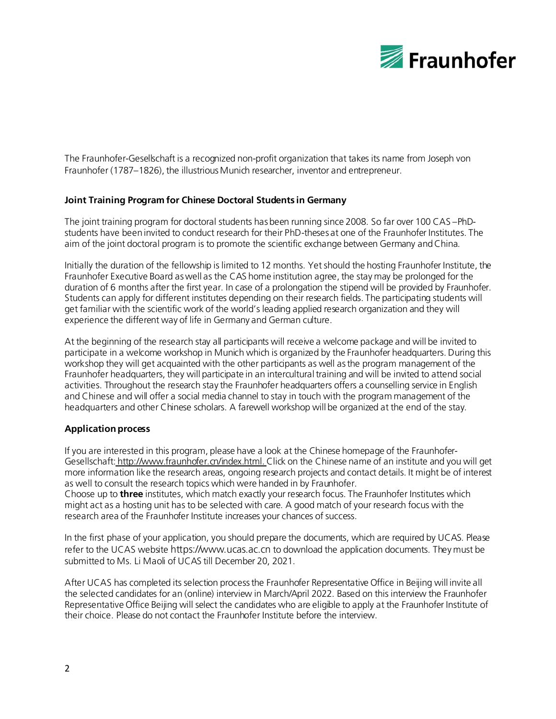

The Fraunhofer-Gesellschaft is a recognized non-profit organization that takes its name from Joseph von Fraunhofer (1787–1826), the illustrious Munich researcher, inventor and entrepreneur.

### **Joint Training Program for Chinese Doctoral Students in Germany**

The joint training program for doctoral students has been running since 2008. So far over 100 CAS –PhDstudents have been invited to conduct research for their PhD-theses at one of the Fraunhofer Institutes. The aim of the joint doctoral program is to promote the scientific exchange between Germany and China.

Initially the duration of the fellowship is limited to 12 months. Yet should the hosting Fraunhofer Institute, the Fraunhofer Executive Board as well as the CAS home institution agree, the stay may be prolonged for the duration of 6 months after the first year. In case of a prolongation the stipend will be provided by Fraunhofer. Students can apply for different institutes depending on their research fields. The participating students will get familiar with the scientific work of the world's leading applied research organization and they will experience the different way of life in Germany and German culture.

At the beginning of the research stay all participants will receive a welcome package and will be invited to participate in a welcome workshop in Munich which is organized by the Fraunhofer headquarters. During this workshop they will get acquainted with the other participants as well as the program management of the Fraunhofer headquarters, they will participate in an intercultural training and will be invited to attend social activities. Throughout the research stay the Fraunhofer headquarters offers a counselling service in English and Chinese and will offer a social media channel to stay in touch with the program management of the headquarters and other Chinese scholars. A farewell workshop will be organized at the end of the stay.

### **Application process**

If you are interested in this program, please have a look at the Chinese homepage of the FraunhoferGesellschaft: <http://www.fraunhofer.cn/index.html>. Click on the Chinese name of an institute and you will get more information like the research areas, ongoing research projects and contact details. It might be of interest as well to consult the research topics which were handed in by Fraunhofer.

Choose up to **three** institutes, which match exactly your research focus. The Fraunhofer Institutes which might act as a hosting unit has to be selected with care. A good match of your research focus with the research area of the Fraunhofer Institute increases your chances of success.

In the first phase of your application, you should prepare the documents, which are required by UCAS. Please refer to the UCAS website https://www.ucas.ac.cn to download the application documents. They must be submitted to Ms. Li Maoli of UCAS till December 20, 2021.

After UCAS has completed its selection process the Fraunhofer Representative Office in Beijing will invite all the selected candidates for an (online) interview in March/April 2022. Based on this interview the Fraunhofer Representative Office Beijing will select the candidates who are eligible to apply at the Fraunhofer Institute of their choice. Please do not contact the Fraunhofer Institute before the interview.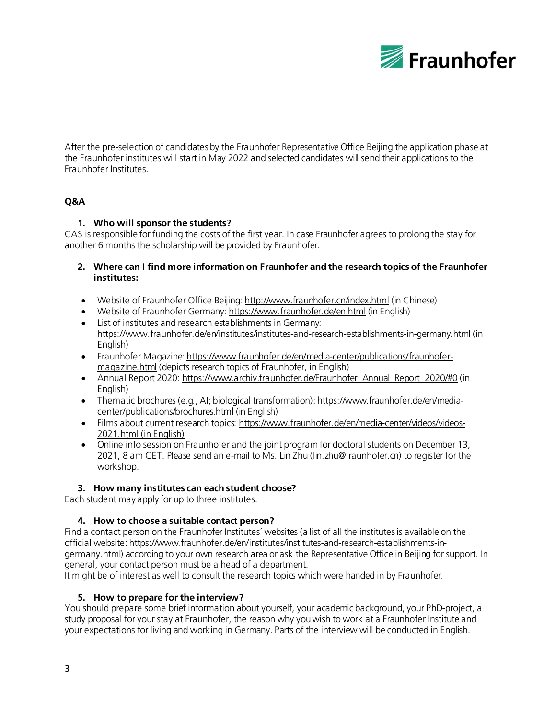

After the pre-selection of candidates by the Fraunhofer Representative Office Beijing the application phase at the Fraunhofer institutes will start in May 2022 and selected candidates will send their applications to the Fraunhofer Institutes.

## **Q&A**

## **1. Who will sponsor the students?**

CAS is responsible for funding the costs of the first year. In case Fraunhofer agrees to prolong the stay for another 6 months the scholarship will be provided by Fraunhofer.

- **2. Where can I find more information on Fraunhofer and the research topics of the Fraunhofer institutes:**
- Website of Fraunhofer Office Beijin[g: http://www.fraunhofer.cn/index.html](http://www.fraunhofer.cn/index.html) (in Chinese)
- Website of Fraunhofer German[y: https://www.fraunhofer.de/en.html](https://www.fraunhofer.de/en.html) (in English)
- List of institutes and research establishments in Germany: <https://www.fraunhofer.de/en/institutes/institutes-and-research-establishments-in-germany.html> (in English)
- Fraunhofer Magazin[e: https://www.fraunhofer.de/en/media-center/publications/fraunhofer](https://www.fraunhofer.de/en/media-center/publications/fraunhofer-magazine.html)[magazine.html](https://www.fraunhofer.de/en/media-center/publications/fraunhofer-magazine.html) (depicts research topics of Fraunhofer, in English)
- Annual Report 2020: https://www.archiv.fraunhofer.de/Fraunhofer Annual Report 2020/#0 (in English)
- Thematic brochures (e.g., AI; biological transformation)[: https://www.fraunhofer.de/en/media](https://www.fraunhofer.de/en/media-center/publications/brochures.html)[center/publications/brochures.html](https://www.fraunhofer.de/en/media-center/publications/brochures.html) (in English)
- Films about current research topics[: https://www.fraunhofer.de/en/media-center/videos/videos-](https://www.fraunhofer.de/en/media-center/videos/videos-2021.html)[2021.html](https://www.fraunhofer.de/en/media-center/videos/videos-2021.html) (in English)
- Online info session on Fraunhofer and the joint program for doctoral students on December 13, 2021, 8 am CET. Please send an e-mail to Ms. Lin Zhu (lin.zhu@fraunhofer.cn) to register for the workshop.

### **3. How many institutes can each student choose?**

Each student may apply for up to three institutes.

## **4. How to choose a suitable contact person?**

Find a contact person on the Fraunhofer Institutes´ websites (a list of all the institutes is available on the official website[: https://www.fraunhofer.de/en/institutes/institutes-and-research-establishments-in](https://www.fraunhofer.de/en/institutes/institutes-and-research-establishments-in-germany.html)[germany.html\)](https://www.fraunhofer.de/en/institutes/institutes-and-research-establishments-in-germany.html) according to your own research area or ask the Representative Office in Beijing for support. In general, your contact person must be a head of a department.

It might be of interest as well to consult the research topics which were handed in by Fraunhofer.

### **5. How to prepare for the interview?**

You should prepare some brief information about yourself, your academic background, your PhD-project, a study proposal for your stay at Fraunhofer, the reason why you wish to work at a Fraunhofer Institute and your expectations for living and working in Germany. Parts of the interview will be conducted in English.